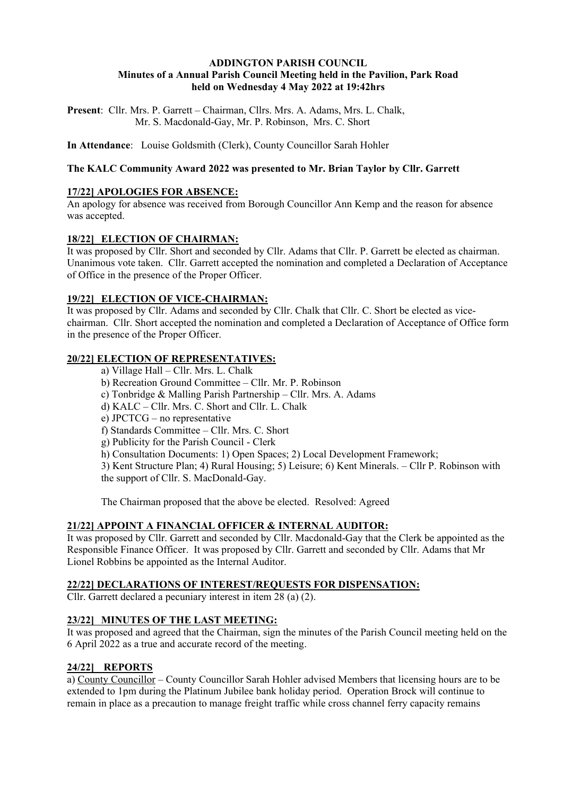### **ADDINGTON PARISH COUNCIL Minutes of a Annual Parish Council Meeting held in the Pavilion, Park Road held on Wednesday 4 May 2022 at 19:42hrs**

**Present**: Cllr. Mrs. P. Garrett – Chairman, Cllrs. Mrs. A. Adams, Mrs. L. Chalk, Mr. S. Macdonald-Gay, Mr. P. Robinson, Mrs. C. Short

**In Attendance**: Louise Goldsmith (Clerk), County Councillor Sarah Hohler

### **The KALC Community Award 2022 was presented to Mr. Brian Taylor by Cllr. Garrett**

### **17/22] APOLOGIES FOR ABSENCE:**

An apology for absence was received from Borough Councillor Ann Kemp and the reason for absence was accepted.

### **18/22] ELECTION OF CHAIRMAN:**

It was proposed by Cllr. Short and seconded by Cllr. Adams that Cllr. P. Garrett be elected as chairman. Unanimous vote taken. Cllr. Garrett accepted the nomination and completed a Declaration of Acceptance of Office in the presence of the Proper Officer.

### **19/22] ELECTION OF VICE-CHAIRMAN:**

It was proposed by Cllr. Adams and seconded by Cllr. Chalk that Cllr. C. Short be elected as vicechairman. Cllr. Short accepted the nomination and completed a Declaration of Acceptance of Office form in the presence of the Proper Officer.

### **20/22] ELECTION OF REPRESENTATIVES:**

- a) Village Hall Cllr. Mrs. L. Chalk
- b) Recreation Ground Committee Cllr. Mr. P. Robinson
- c) Tonbridge & Malling Parish Partnership Cllr. Mrs. A. Adams
- d) KALC Cllr. Mrs. C. Short and Cllr. L. Chalk
- e) JPCTCG no representative
- f) Standards Committee Cllr. Mrs. C. Short
- g) Publicity for the Parish Council Clerk
- h) Consultation Documents: 1) Open Spaces; 2) Local Development Framework;

3) Kent Structure Plan; 4) Rural Housing; 5) Leisure; 6) Kent Minerals. – Cllr P. Robinson with the support of Cllr. S. MacDonald-Gay.

The Chairman proposed that the above be elected. Resolved: Agreed

### **21/22] APPOINT A FINANCIAL OFFICER & INTERNAL AUDITOR:**

It was proposed by Cllr. Garrett and seconded by Cllr. Macdonald-Gay that the Clerk be appointed as the Responsible Finance Officer. It was proposed by Cllr. Garrett and seconded by Cllr. Adams that Mr Lionel Robbins be appointed as the Internal Auditor.

### **22/22] DECLARATIONS OF INTEREST/REQUESTS FOR DISPENSATION:**

Cllr. Garrett declared a pecuniary interest in item 28 (a) (2).

### **23/22] MINUTES OF THE LAST MEETING:**

It was proposed and agreed that the Chairman, sign the minutes of the Parish Council meeting held on the 6 April 2022 as a true and accurate record of the meeting.

## **24/22] REPORTS**

a) County Councillor – County Councillor Sarah Hohler advised Members that licensing hours are to be extended to 1pm during the Platinum Jubilee bank holiday period. Operation Brock will continue to remain in place as a precaution to manage freight traffic while cross channel ferry capacity remains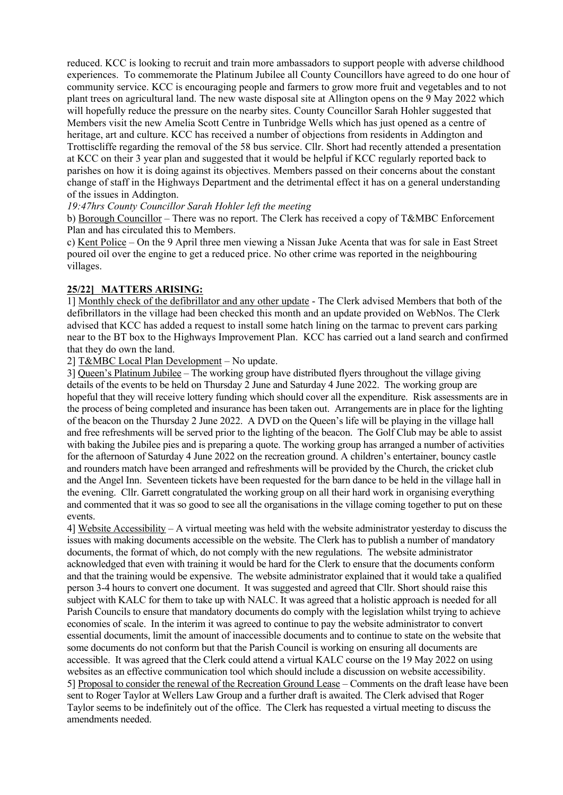reduced. KCC is looking to recruit and train more ambassadors to support people with adverse childhood experiences. To commemorate the Platinum Jubilee all County Councillors have agreed to do one hour of community service. KCC is encouraging people and farmers to grow more fruit and vegetables and to not plant trees on agricultural land. The new waste disposal site at Allington opens on the 9 May 2022 which will hopefully reduce the pressure on the nearby sites. County Councillor Sarah Hohler suggested that Members visit the new Amelia Scott Centre in Tunbridge Wells which has just opened as a centre of heritage, art and culture. KCC has received a number of objections from residents in Addington and Trottiscliffe regarding the removal of the 58 bus service. Cllr. Short had recently attended a presentation at KCC on their 3 year plan and suggested that it would be helpful if KCC regularly reported back to parishes on how it is doing against its objectives. Members passed on their concerns about the constant change of staff in the Highways Department and the detrimental effect it has on a general understanding of the issues in Addington.

*19:47hrs County Councillor Sarah Hohler left the meeting*

b) Borough Councillor – There was no report. The Clerk has received a copy of T&MBC Enforcement Plan and has circulated this to Members.

c) Kent Police – On the 9 April three men viewing a Nissan Juke Acenta that was for sale in East Street poured oil over the engine to get a reduced price. No other crime was reported in the neighbouring villages.

### **25/22] MATTERS ARISING:**

1] Monthly check of the defibrillator and any other update - The Clerk advised Members that both of the defibrillators in the village had been checked this month and an update provided on WebNos. The Clerk advised that KCC has added a request to install some hatch lining on the tarmac to prevent cars parking near to the BT box to the Highways Improvement Plan. KCC has carried out a land search and confirmed that they do own the land.

2] T&MBC Local Plan Development – No update.

3] Queen's Platinum Jubilee – The working group have distributed flyers throughout the village giving details of the events to be held on Thursday 2 June and Saturday 4 June 2022. The working group are hopeful that they will receive lottery funding which should cover all the expenditure. Risk assessments are in the process of being completed and insurance has been taken out. Arrangements are in place for the lighting of the beacon on the Thursday 2 June 2022. A DVD on the Queen's life will be playing in the village hall and free refreshments will be served prior to the lighting of the beacon. The Golf Club may be able to assist with baking the Jubilee pies and is preparing a quote. The working group has arranged a number of activities for the afternoon of Saturday 4 June 2022 on the recreation ground. A children's entertainer, bouncy castle and rounders match have been arranged and refreshments will be provided by the Church, the cricket club and the Angel Inn. Seventeen tickets have been requested for the barn dance to be held in the village hall in the evening. Cllr. Garrett congratulated the working group on all their hard work in organising everything and commented that it was so good to see all the organisations in the village coming together to put on these events.

4] Website Accessibility – A virtual meeting was held with the website administrator yesterday to discuss the issues with making documents accessible on the website. The Clerk has to publish a number of mandatory documents, the format of which, do not comply with the new regulations. The website administrator acknowledged that even with training it would be hard for the Clerk to ensure that the documents conform and that the training would be expensive. The website administrator explained that it would take a qualified person 3-4 hours to convert one document. It was suggested and agreed that Cllr. Short should raise this subject with KALC for them to take up with NALC. It was agreed that a holistic approach is needed for all Parish Councils to ensure that mandatory documents do comply with the legislation whilst trying to achieve economies of scale. In the interim it was agreed to continue to pay the website administrator to convert essential documents, limit the amount of inaccessible documents and to continue to state on the website that some documents do not conform but that the Parish Council is working on ensuring all documents are accessible. It was agreed that the Clerk could attend a virtual KALC course on the 19 May 2022 on using websites as an effective communication tool which should include a discussion on website accessibility. 5] Proposal to consider the renewal of the Recreation Ground Lease – Comments on the draft lease have been sent to Roger Taylor at Wellers Law Group and a further draft is awaited. The Clerk advised that Roger Taylor seems to be indefinitely out of the office. The Clerk has requested a virtual meeting to discuss the amendments needed.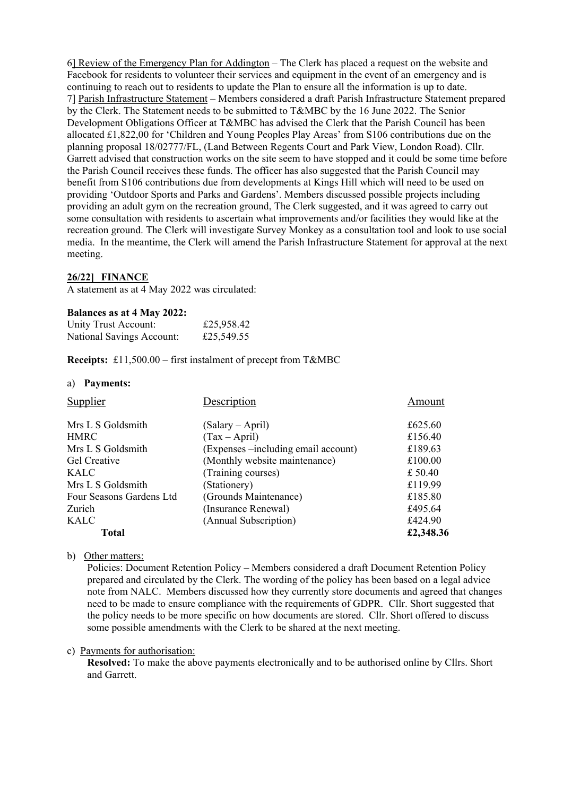6] Review of the Emergency Plan for Addington – The Clerk has placed a request on the website and Facebook for residents to volunteer their services and equipment in the event of an emergency and is continuing to reach out to residents to update the Plan to ensure all the information is up to date. 7] Parish Infrastructure Statement – Members considered a draft Parish Infrastructure Statement prepared by the Clerk. The Statement needs to be submitted to T&MBC by the 16 June 2022. The Senior Development Obligations Officer at T&MBC has advised the Clerk that the Parish Council has been allocated £1,822,00 for 'Children and Young Peoples Play Areas' from S106 contributions due on the planning proposal 18/02777/FL, (Land Between Regents Court and Park View, London Road). Cllr. Garrett advised that construction works on the site seem to have stopped and it could be some time before the Parish Council receives these funds. The officer has also suggested that the Parish Council may benefit from S106 contributions due from developments at Kings Hill which will need to be used on providing 'Outdoor Sports and Parks and Gardens'. Members discussed possible projects including providing an adult gym on the recreation ground, The Clerk suggested, and it was agreed to carry out some consultation with residents to ascertain what improvements and/or facilities they would like at the recreation ground. The Clerk will investigate Survey Monkey as a consultation tool and look to use social media. In the meantime, the Clerk will amend the Parish Infrastructure Statement for approval at the next meeting.

### **26/22] FINANCE**

A statement as at 4 May 2022 was circulated:

#### **Balances as at 4 May 2022:**

| Unity Trust Account:      | £25,958.42 |
|---------------------------|------------|
| National Savings Account: | £25,549.55 |

**Receipts:** £11,500.00 – first instalment of precept from T&MBC

#### a) **Payments:**

| Supplier                 | Description                          | Amount    |
|--------------------------|--------------------------------------|-----------|
| Mrs L S Goldsmith        | (Salary – April)                     | £625.60   |
| <b>HMRC</b>              | $(Tax - April)$                      | £156.40   |
| Mrs L S Goldsmith        | (Expenses – including email account) | £189.63   |
| <b>Gel Creative</b>      | (Monthly website maintenance)        | £100.00   |
| KALC                     | (Training courses)                   | £ 50.40   |
| Mrs L S Goldsmith        | (Stationery)                         | £119.99   |
| Four Seasons Gardens Ltd | (Grounds Maintenance)                | £185.80   |
| Zurich                   | (Insurance Renewal)                  | £495.64   |
| <b>KALC</b>              | (Annual Subscription)                | £424.90   |
| Total                    |                                      | £2,348.36 |

b) Other matters:

Policies: Document Retention Policy – Members considered a draft Document Retention Policy prepared and circulated by the Clerk. The wording of the policy has been based on a legal advice note from NALC. Members discussed how they currently store documents and agreed that changes need to be made to ensure compliance with the requirements of GDPR. Cllr. Short suggested that the policy needs to be more specific on how documents are stored. Cllr. Short offered to discuss some possible amendments with the Clerk to be shared at the next meeting.

#### c) Payments for authorisation:

**Resolved:** To make the above payments electronically and to be authorised online by Cllrs. Short and Garrett.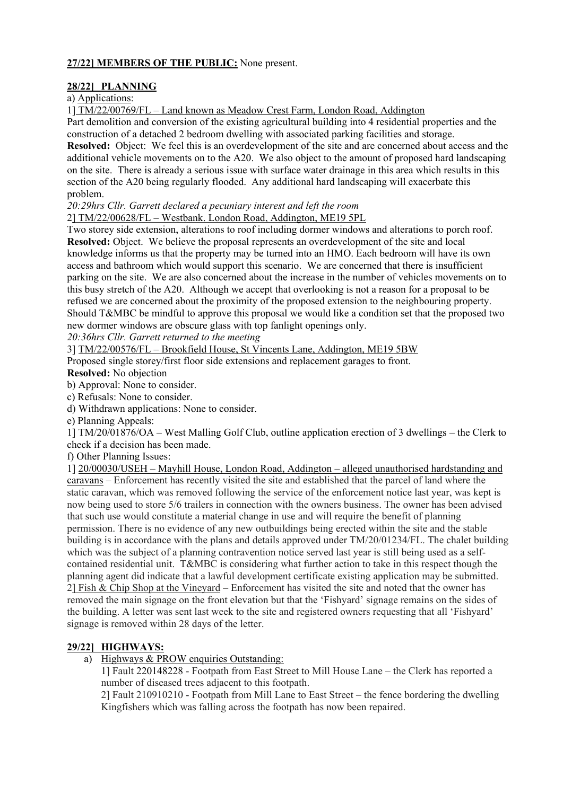## **27/22] MEMBERS OF THE PUBLIC:** None present.

### **28/22] PLANNING**

### a) Applications:

1] TM/22/00769/FL – Land known as Meadow Crest Farm, London Road, Addington

Part demolition and conversion of the existing agricultural building into 4 residential properties and the construction of a detached 2 bedroom dwelling with associated parking facilities and storage.

**Resolved:** Object: We feel this is an overdevelopment of the site and are concerned about access and the additional vehicle movements on to the A20. We also object to the amount of proposed hard landscaping on the site. There is already a serious issue with surface water drainage in this area which results in this section of the A20 being regularly flooded. Any additional hard landscaping will exacerbate this problem.

*20:29hrs Cllr. Garrett declared a pecuniary interest and left the room*

2] TM/22/00628/FL – Westbank. London Road, Addington, ME19 5PL

Two storey side extension, alterations to roof including dormer windows and alterations to porch roof. **Resolved:** Object.We believe the proposal represents an overdevelopment of the site and local knowledge informs us that the property may be turned into an HMO. Each bedroom will have its own access and bathroom which would support this scenario. We are concerned that there is insufficient parking on the site. We are also concerned about the increase in the number of vehicles movements on to this busy stretch of the A20. Although we accept that overlooking is not a reason for a proposal to be refused we are concerned about the proximity of the proposed extension to the neighbouring property. Should T&MBC be mindful to approve this proposal we would like a condition set that the proposed two new dormer windows are obscure glass with top fanlight openings only.

*20:36hrs Cllr. Garrett returned to the meeting*

3] TM/22/00576/FL – Brookfield House, St Vincents Lane, Addington, ME19 5BW

Proposed single storey/first floor side extensions and replacement garages to front.

**Resolved:** No objection

b) Approval: None to consider.

c) Refusals: None to consider.

d) Withdrawn applications: None to consider.

e) Planning Appeals:

1] TM/20/01876/OA – West Malling Golf Club, outline application erection of 3 dwellings – the Clerk to check if a decision has been made.

f) Other Planning Issues:

1] 20/00030/USEH – Mayhill House, London Road, Addington – alleged unauthorised hardstanding and caravans – Enforcement has recently visited the site and established that the parcel of land where the static caravan, which was removed following the service of the enforcement notice last year, was kept is now being used to store 5/6 trailers in connection with the owners business. The owner has been advised that such use would constitute a material change in use and will require the benefit of planning permission. There is no evidence of any new outbuildings being erected within the site and the stable building is in accordance with the plans and details approved under TM/20/01234/FL. The chalet building which was the subject of a planning contravention notice served last year is still being used as a selfcontained residential unit. T&MBC is considering what further action to take in this respect though the planning agent did indicate that a lawful development certificate existing application may be submitted. 2] Fish & Chip Shop at the Vineyard – Enforcement has visited the site and noted that the owner has removed the main signage on the front elevation but that the 'Fishyard' signage remains on the sides of the building. A letter was sent last week to the site and registered owners requesting that all 'Fishyard' signage is removed within 28 days of the letter.

### **29/22] HIGHWAYS:**

a) Highways & PROW enquiries Outstanding:

1] Fault 220148228 - Footpath from East Street to Mill House Lane – the Clerk has reported a number of diseased trees adjacent to this footpath.

2] Fault 210910210 - Footpath from Mill Lane to East Street – the fence bordering the dwelling Kingfishers which was falling across the footpath has now been repaired.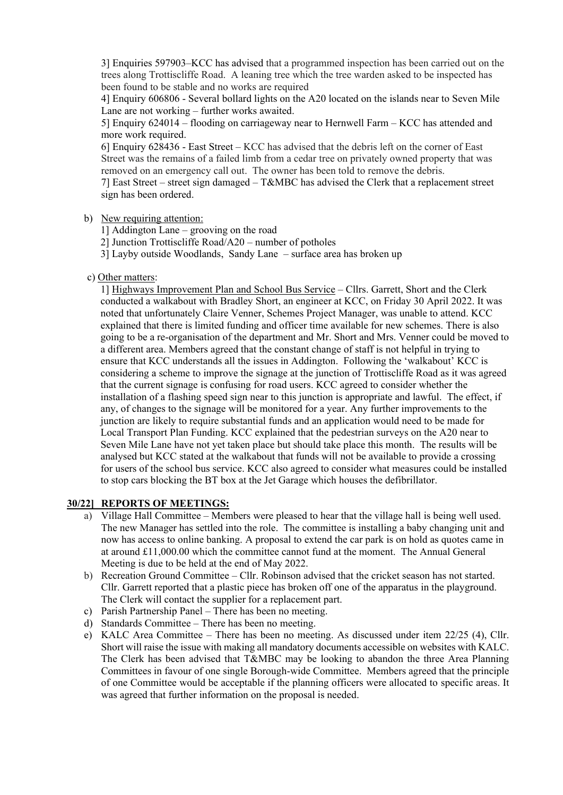3] Enquiries 597903–KCC has advised that a programmed inspection has been carried out on the trees along Trottiscliffe Road. A leaning tree which the tree warden asked to be inspected has been found to be stable and no works are required

4] Enquiry 606806 - Several bollard lights on the A20 located on the islands near to Seven Mile Lane are not working – further works awaited.

5] Enquiry 624014 – flooding on carriageway near to Hernwell Farm – KCC has attended and more work required.

6] Enquiry 628436 - East Street – KCC has advised that the debris left on the corner of East Street was the remains of a failed limb from a cedar tree on privately owned property that was removed on an emergency call out. The owner has been told to remove the debris.

7] East Street – street sign damaged – T&MBC has advised the Clerk that a replacement street sign has been ordered.

b) New requiring attention:

1] Addington Lane – grooving on the road

- 2] Junction Trottiscliffe Road/A20 number of potholes
- 3] Layby outside Woodlands, Sandy Lane surface area has broken up
- c) Other matters:

1] Highways Improvement Plan and School Bus Service – Cllrs. Garrett, Short and the Clerk conducted a walkabout with Bradley Short, an engineer at KCC, on Friday 30 April 2022. It was noted that unfortunately Claire Venner, Schemes Project Manager, was unable to attend. KCC explained that there is limited funding and officer time available for new schemes. There is also going to be a re-organisation of the department and Mr. Short and Mrs. Venner could be moved to a different area. Members agreed that the constant change of staff is not helpful in trying to ensure that KCC understands all the issues in Addington. Following the 'walkabout' KCC is considering a scheme to improve the signage at the junction of Trottiscliffe Road as it was agreed that the current signage is confusing for road users. KCC agreed to consider whether the installation of a flashing speed sign near to this junction is appropriate and lawful. The effect, if any, of changes to the signage will be monitored for a year. Any further improvements to the junction are likely to require substantial funds and an application would need to be made for Local Transport Plan Funding. KCC explained that the pedestrian surveys on the A20 near to Seven Mile Lane have not yet taken place but should take place this month. The results will be analysed but KCC stated at the walkabout that funds will not be available to provide a crossing for users of the school bus service. KCC also agreed to consider what measures could be installed to stop cars blocking the BT box at the Jet Garage which houses the defibrillator.

### **30/22] REPORTS OF MEETINGS:**

- a) Village Hall Committee Members were pleased to hear that the village hall is being well used. The new Manager has settled into the role. The committee is installing a baby changing unit and now has access to online banking. A proposal to extend the car park is on hold as quotes came in at around  $£11,000.00$  which the committee cannot fund at the moment. The Annual General Meeting is due to be held at the end of May 2022.
- b) Recreation Ground Committee Cllr. Robinson advised that the cricket season has not started. Cllr. Garrett reported that a plastic piece has broken off one of the apparatus in the playground. The Clerk will contact the supplier for a replacement part.
- c) Parish Partnership Panel There has been no meeting.
- d) Standards Committee There has been no meeting.
- e) KALC Area Committee There has been no meeting. As discussed under item 22/25 (4), Cllr. Short will raise the issue with making all mandatory documents accessible on websites with KALC. The Clerk has been advised that T&MBC may be looking to abandon the three Area Planning Committees in favour of one single Borough-wide Committee. Members agreed that the principle of one Committee would be acceptable if the planning officers were allocated to specific areas. It was agreed that further information on the proposal is needed.